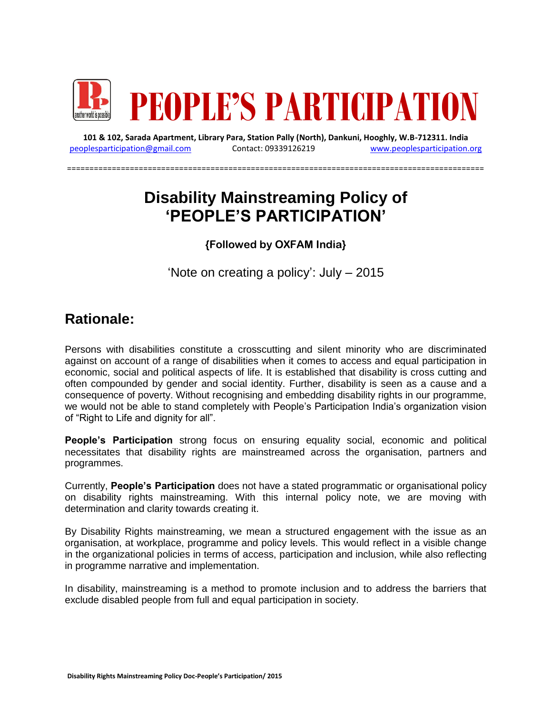

**101 & 102, Sarada Apartment, Library Para, Station Pally (North), Dankuni, Hooghly, W.B-712311. India** [peoplesparticipation@gmail.com](mailto:peoplesparticipation@gmail.com) Contact: 09339126219 [www.peoplesparticipation.org](http://www.peoplesparticipation.org/)

=============================================================================================

# **Disability Mainstreaming Policy of 'PEOPLE'S PARTICIPATION'**

**{Followed by OXFAM India}**

'Note on creating a policy': July – 2015

### **Rationale:**

Persons with disabilities constitute a crosscutting and silent minority who are discriminated against on account of a range of disabilities when it comes to access and equal participation in economic, social and political aspects of life. It is established that disability is cross cutting and often compounded by gender and social identity. Further, disability is seen as a cause and a consequence of poverty. Without recognising and embedding disability rights in our programme, we would not be able to stand completely with People's Participation India's organization vision of "Right to Life and dignity for all".

**People's Participation** strong focus on ensuring equality social, economic and political necessitates that disability rights are mainstreamed across the organisation, partners and programmes.

Currently, **People's Participation** does not have a stated programmatic or organisational policy on disability rights mainstreaming. With this internal policy note, we are moving with determination and clarity towards creating it.

By Disability Rights mainstreaming, we mean a structured engagement with the issue as an organisation, at workplace, programme and policy levels. This would reflect in a visible change in the organizational policies in terms of access, participation and inclusion, while also reflecting in programme narrative and implementation.

In disability, mainstreaming is a method to promote inclusion and to address the barriers that exclude disabled people from full and equal participation in society.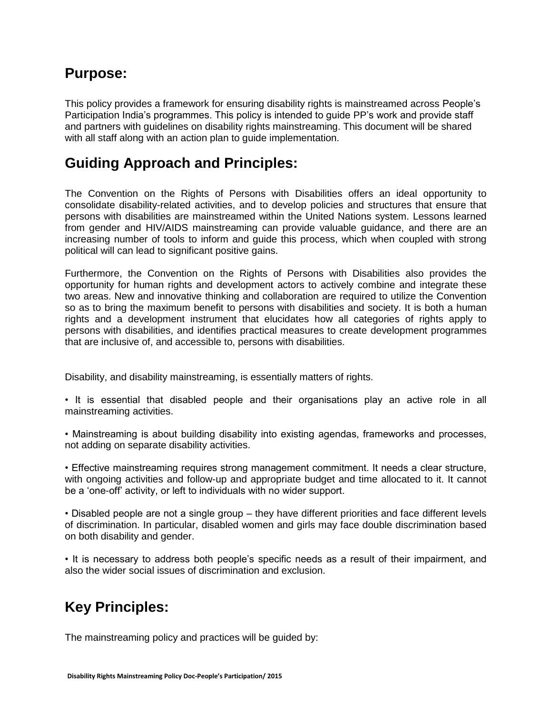## **Purpose:**

This policy provides a framework for ensuring disability rights is mainstreamed across People's Participation India's programmes. This policy is intended to guide PP's work and provide staff and partners with guidelines on disability rights mainstreaming. This document will be shared with all staff along with an action plan to guide implementation.

## **Guiding Approach and Principles:**

The Convention on the Rights of Persons with Disabilities offers an ideal opportunity to consolidate disability-related activities, and to develop policies and structures that ensure that persons with disabilities are mainstreamed within the United Nations system. Lessons learned from gender and HIV/AIDS mainstreaming can provide valuable guidance, and there are an increasing number of tools to inform and guide this process, which when coupled with strong political will can lead to significant positive gains.

Furthermore, the Convention on the Rights of Persons with Disabilities also provides the opportunity for human rights and development actors to actively combine and integrate these two areas. New and innovative thinking and collaboration are required to utilize the Convention so as to bring the maximum benefit to persons with disabilities and society. It is both a human rights and a development instrument that elucidates how all categories of rights apply to persons with disabilities, and identifies practical measures to create development programmes that are inclusive of, and accessible to, persons with disabilities.

Disability, and disability mainstreaming, is essentially matters of rights.

- It is essential that disabled people and their organisations play an active role in all mainstreaming activities.
- Mainstreaming is about building disability into existing agendas, frameworks and processes, not adding on separate disability activities.

• Effective mainstreaming requires strong management commitment. It needs a clear structure, with ongoing activities and follow-up and appropriate budget and time allocated to it. It cannot be a 'one-off' activity, or left to individuals with no wider support.

• Disabled people are not a single group – they have different priorities and face different levels of discrimination. In particular, disabled women and girls may face double discrimination based on both disability and gender.

• It is necessary to address both people's specific needs as a result of their impairment, and also the wider social issues of discrimination and exclusion.

## **Key Principles:**

The mainstreaming policy and practices will be guided by: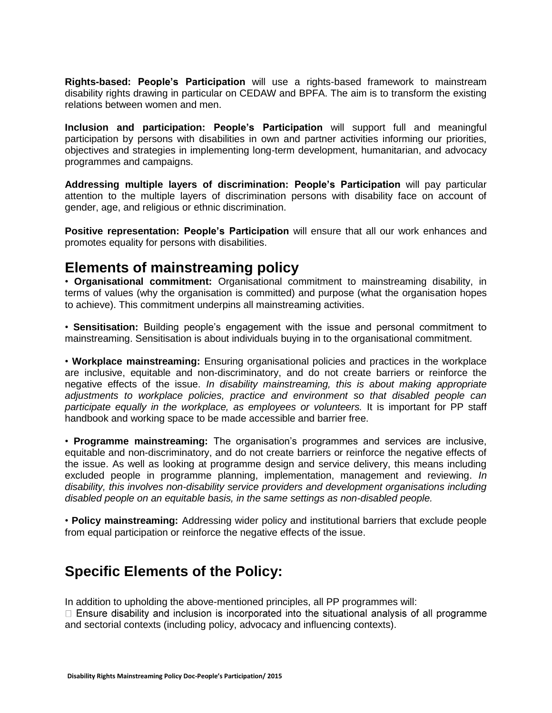**Rights-based: People's Participation** will use a rights-based framework to mainstream disability rights drawing in particular on CEDAW and BPFA. The aim is to transform the existing relations between women and men.

**Inclusion and participation: People's Participation** will support full and meaningful participation by persons with disabilities in own and partner activities informing our priorities, objectives and strategies in implementing long-term development, humanitarian, and advocacy programmes and campaigns.

**Addressing multiple layers of discrimination: People's Participation** will pay particular attention to the multiple layers of discrimination persons with disability face on account of gender, age, and religious or ethnic discrimination.

**Positive representation: People's Participation** will ensure that all our work enhances and promotes equality for persons with disabilities.

### **Elements of mainstreaming policy**

• **Organisational commitment:** Organisational commitment to mainstreaming disability, in terms of values (why the organisation is committed) and purpose (what the organisation hopes to achieve). This commitment underpins all mainstreaming activities.

• **Sensitisation:** Building people's engagement with the issue and personal commitment to mainstreaming. Sensitisation is about individuals buying in to the organisational commitment.

• **Workplace mainstreaming:** Ensuring organisational policies and practices in the workplace are inclusive, equitable and non-discriminatory, and do not create barriers or reinforce the negative effects of the issue. *In disability mainstreaming, this is about making appropriate adjustments to workplace policies, practice and environment so that disabled people can participate equally in the workplace, as employees or volunteers.* It is important for PP staff handbook and working space to be made accessible and barrier free.

• **Programme mainstreaming:** The organisation's programmes and services are inclusive, equitable and non-discriminatory, and do not create barriers or reinforce the negative effects of the issue. As well as looking at programme design and service delivery, this means including excluded people in programme planning, implementation, management and reviewing. *In disability, this involves non-disability service providers and development organisations including disabled people on an equitable basis, in the same settings as non-disabled people.* 

• **Policy mainstreaming:** Addressing wider policy and institutional barriers that exclude people from equal participation or reinforce the negative effects of the issue.

## **Specific Elements of the Policy:**

In addition to upholding the above-mentioned principles, all PP programmes will:

 $\Box$  Ensure disability and inclusion is incorporated into the situational analysis of all programme and sectorial contexts (including policy, advocacy and influencing contexts).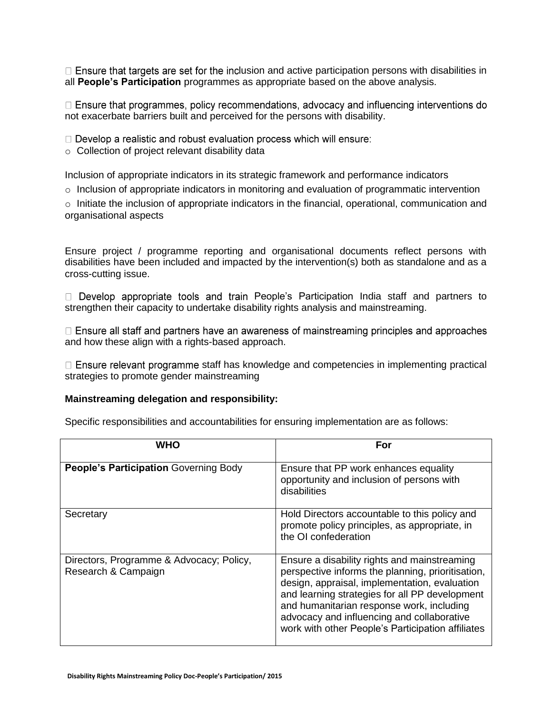$\Box$  Ensure that targets are set for the inclusion and active participation persons with disabilities in all **People's Participation** programmes as appropriate based on the above analysis.

 $\Box$  Ensure that programmes, policy recommendations, advocacy and influencing interventions do not exacerbate barriers built and perceived for the persons with disability.

 $\Box$  Develop a realistic and robust evaluation process which will ensure:

o Collection of project relevant disability data

Inclusion of appropriate indicators in its strategic framework and performance indicators

 $\circ$  Inclusion of appropriate indicators in monitoring and evaluation of programmatic intervention

 $\circ$  Initiate the inclusion of appropriate indicators in the financial, operational, communication and organisational aspects

Ensure project / programme reporting and organisational documents reflect persons with disabilities have been included and impacted by the intervention(s) both as standalone and as a cross-cutting issue.

 $\Box$  Develop appropriate tools and train People's Participation India staff and partners to strengthen their capacity to undertake disability rights analysis and mainstreaming.

 $\Box$  Ensure all staff and partners have an awareness of mainstreaming principles and approaches and how these align with a rights-based approach.

 $\Box$  Ensure relevant programme staff has knowledge and competencies in implementing practical strategies to promote gender mainstreaming

#### **Mainstreaming delegation and responsibility:**

Specific responsibilities and accountabilities for ensuring implementation are as follows:

| WHO                                                             | For                                                                                                                                                                                                                                                                                                                                                  |
|-----------------------------------------------------------------|------------------------------------------------------------------------------------------------------------------------------------------------------------------------------------------------------------------------------------------------------------------------------------------------------------------------------------------------------|
| <b>People's Participation Governing Body</b>                    | Ensure that PP work enhances equality<br>opportunity and inclusion of persons with<br>disabilities                                                                                                                                                                                                                                                   |
| Secretary                                                       | Hold Directors accountable to this policy and<br>promote policy principles, as appropriate, in<br>the OI confederation                                                                                                                                                                                                                               |
| Directors, Programme & Advocacy; Policy,<br>Research & Campaign | Ensure a disability rights and mainstreaming<br>perspective informs the planning, prioritisation,<br>design, appraisal, implementation, evaluation<br>and learning strategies for all PP development<br>and humanitarian response work, including<br>advocacy and influencing and collaborative<br>work with other People's Participation affiliates |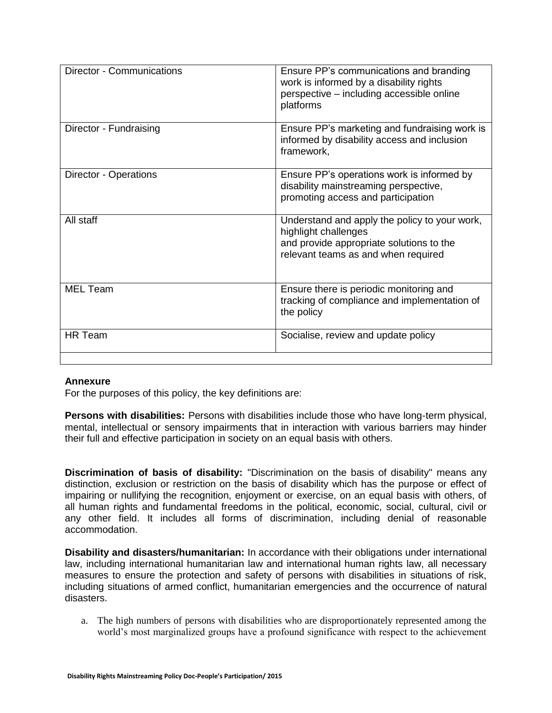| Director - Communications | Ensure PP's communications and branding<br>work is informed by a disability rights<br>perspective - including accessible online<br>platforms             |
|---------------------------|----------------------------------------------------------------------------------------------------------------------------------------------------------|
| Director - Fundraising    | Ensure PP's marketing and fundraising work is<br>informed by disability access and inclusion<br>framework,                                               |
| Director - Operations     | Ensure PP's operations work is informed by<br>disability mainstreaming perspective,<br>promoting access and participation                                |
| All staff                 | Understand and apply the policy to your work,<br>highlight challenges<br>and provide appropriate solutions to the<br>relevant teams as and when required |
| <b>MEL Team</b>           | Ensure there is periodic monitoring and<br>tracking of compliance and implementation of<br>the policy                                                    |
| HR Team                   | Socialise, review and update policy                                                                                                                      |

#### **Annexure**

For the purposes of this policy, the key definitions are:

**Persons with disabilities:** Persons with disabilities include those who have long-term physical, mental, intellectual or sensory impairments that in interaction with various barriers may hinder their full and effective participation in society on an equal basis with others.

**Discrimination of basis of disability:** "Discrimination on the basis of disability" means any distinction, exclusion or restriction on the basis of disability which has the purpose or effect of impairing or nullifying the recognition, enjoyment or exercise, on an equal basis with others, of all human rights and fundamental freedoms in the political, economic, social, cultural, civil or any other field. It includes all forms of discrimination, including denial of reasonable accommodation.

**Disability and disasters/humanitarian:** In accordance with their obligations under international law, including international humanitarian law and international human rights law, all necessary measures to ensure the protection and safety of persons with disabilities in situations of risk, including situations of armed conflict, humanitarian emergencies and the occurrence of natural disasters.

a. The high numbers of persons with disabilities who are disproportionately represented among the world's most marginalized groups have a profound significance with respect to the achievement